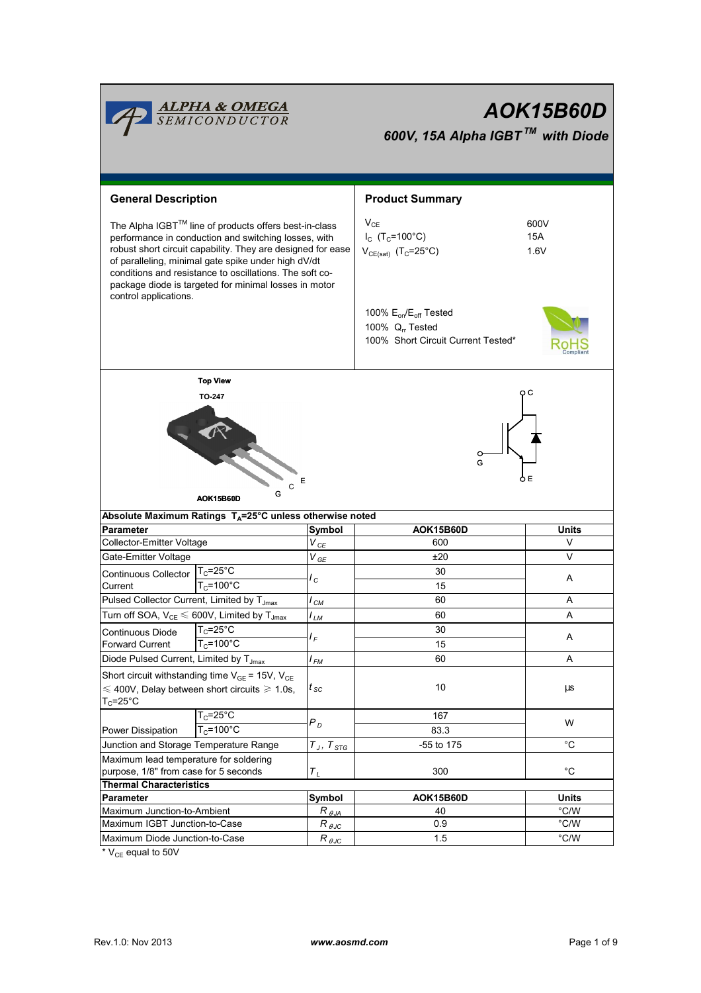| <b>ALPHA &amp; OMEGA</b><br>SEMICONDUCTOR<br>AOK15B60D<br>600V, 15A Alpha IGBT™ with Diode                                                                                                                                                                                                                                                                                       |                                                                      |                       |                                                                                                                                                                                                               |                   |  |  |  |  |
|----------------------------------------------------------------------------------------------------------------------------------------------------------------------------------------------------------------------------------------------------------------------------------------------------------------------------------------------------------------------------------|----------------------------------------------------------------------|-----------------------|---------------------------------------------------------------------------------------------------------------------------------------------------------------------------------------------------------------|-------------------|--|--|--|--|
| <b>General Description</b>                                                                                                                                                                                                                                                                                                                                                       |                                                                      |                       | <b>Product Summary</b>                                                                                                                                                                                        |                   |  |  |  |  |
| The Alpha IGBT™ line of products offers best-in-class<br>performance in conduction and switching losses, with<br>robust short circuit capability. They are designed for ease<br>of paralleling, minimal gate spike under high dV/dt<br>conditions and resistance to oscillations. The soft co-<br>package diode is targeted for minimal losses in motor<br>control applications. |                                                                      |                       | $V_{CE}$<br>600V<br>$I_c$ (T <sub>c</sub> =100°C)<br>15A<br>$V_{CE(sat)}$ (T <sub>C</sub> =25°C)<br>1.6V<br>100% $E_{on}/E_{off}$ Tested<br>100% Q <sub>rr</sub> Tested<br>100% Short Circuit Current Tested* |                   |  |  |  |  |
| <b>Top View</b><br>oс<br><b>TO-247</b><br>O<br>G<br>oЕ<br>Е<br>C<br>G<br>AOK15B60D                                                                                                                                                                                                                                                                                               |                                                                      |                       |                                                                                                                                                                                                               |                   |  |  |  |  |
|                                                                                                                                                                                                                                                                                                                                                                                  | Absolute Maximum Ratings T <sub>A</sub> =25°C unless otherwise noted |                       |                                                                                                                                                                                                               |                   |  |  |  |  |
| Parameter                                                                                                                                                                                                                                                                                                                                                                        |                                                                      | Symbol                | <b>AOK15B60D</b>                                                                                                                                                                                              | <b>Units</b>      |  |  |  |  |
| Collector-Emitter Voltage                                                                                                                                                                                                                                                                                                                                                        |                                                                      | $V_{\text{CE}}$       | 600                                                                                                                                                                                                           | V                 |  |  |  |  |
| Gate-Emitter Voltage                                                                                                                                                                                                                                                                                                                                                             |                                                                      | $V_{GE}$              | ±20                                                                                                                                                                                                           | $\vee$            |  |  |  |  |
| Continuous Collector   T <sub>C</sub> =25°C<br>Current                                                                                                                                                                                                                                                                                                                           | $T_c = 100^{\circ}C$                                                 | l c                   | 30<br>15                                                                                                                                                                                                      | A                 |  |  |  |  |
| Pulsed Collector Current, Limited by T <sub>Jmax</sub>                                                                                                                                                                                                                                                                                                                           |                                                                      | $I_{CM}$              | 60                                                                                                                                                                                                            | Α                 |  |  |  |  |
| Turn off SOA, $V_{CE} \leq 600V$ , Limited by $T_{Jmax}$                                                                                                                                                                                                                                                                                                                         |                                                                      | $I_{LM}$              | 60                                                                                                                                                                                                            | Α                 |  |  |  |  |
| Continuous Diode                                                                                                                                                                                                                                                                                                                                                                 | $T_c = 25^\circ C$                                                   |                       | 30                                                                                                                                                                                                            |                   |  |  |  |  |
| <b>Forward Current</b>                                                                                                                                                                                                                                                                                                                                                           | $T_c = 100^{\circ}$ C                                                | l <sub>F</sub>        | 15                                                                                                                                                                                                            | Α                 |  |  |  |  |
| Diode Pulsed Current, Limited by T <sub>Jmax</sub>                                                                                                                                                                                                                                                                                                                               |                                                                      | $I_{FM}$              | 60                                                                                                                                                                                                            | A                 |  |  |  |  |
| Short circuit withstanding time $V_{GE}$ = 15V, $V_{CE}$<br>$\leq 400V$ , Delay between short circuits $\geq 1.0s$ ,<br>$T_c = 25^\circ C$                                                                                                                                                                                                                                       |                                                                      | $t_{\rm sc}$          | 10                                                                                                                                                                                                            | μs                |  |  |  |  |
|                                                                                                                                                                                                                                                                                                                                                                                  | $T_c = 25^\circ C$                                                   | $P_D$                 | 167                                                                                                                                                                                                           | W                 |  |  |  |  |
| Power Dissipation                                                                                                                                                                                                                                                                                                                                                                | $T_c = 100^{\circ}$ C                                                |                       | 83.3                                                                                                                                                                                                          |                   |  |  |  |  |
| Junction and Storage Temperature Range                                                                                                                                                                                                                                                                                                                                           |                                                                      | $T_J$ , $T_{STG}$     | -55 to 175                                                                                                                                                                                                    | °C                |  |  |  |  |
| Maximum lead temperature for soldering<br>purpose, 1/8" from case for 5 seconds                                                                                                                                                                                                                                                                                                  |                                                                      | $T_L$                 | 300                                                                                                                                                                                                           | $^{\circ}{\rm C}$ |  |  |  |  |
| <b>Thermal Characteristics</b>                                                                                                                                                                                                                                                                                                                                                   |                                                                      |                       |                                                                                                                                                                                                               |                   |  |  |  |  |
| Parameter                                                                                                                                                                                                                                                                                                                                                                        |                                                                      | Symbol                | AOK15B60D                                                                                                                                                                                                     | Units             |  |  |  |  |
| Maximum Junction-to-Ambient                                                                                                                                                                                                                                                                                                                                                      |                                                                      | $R_{\,\theta\,JA}$    | 40<br>0.9                                                                                                                                                                                                     | °C/W<br>°C/W      |  |  |  |  |
| Maximum IGBT Junction-to-Case                                                                                                                                                                                                                                                                                                                                                    |                                                                      | $R_{\theta\text{JC}}$ |                                                                                                                                                                                                               | $\degree$ C/W     |  |  |  |  |
| Maximum Diode Junction-to-Case                                                                                                                                                                                                                                                                                                                                                   |                                                                      | $R_{\theta\text{JC}}$ | 1.5                                                                                                                                                                                                           |                   |  |  |  |  |

 $*$   $V_{CE}$  equal to 50V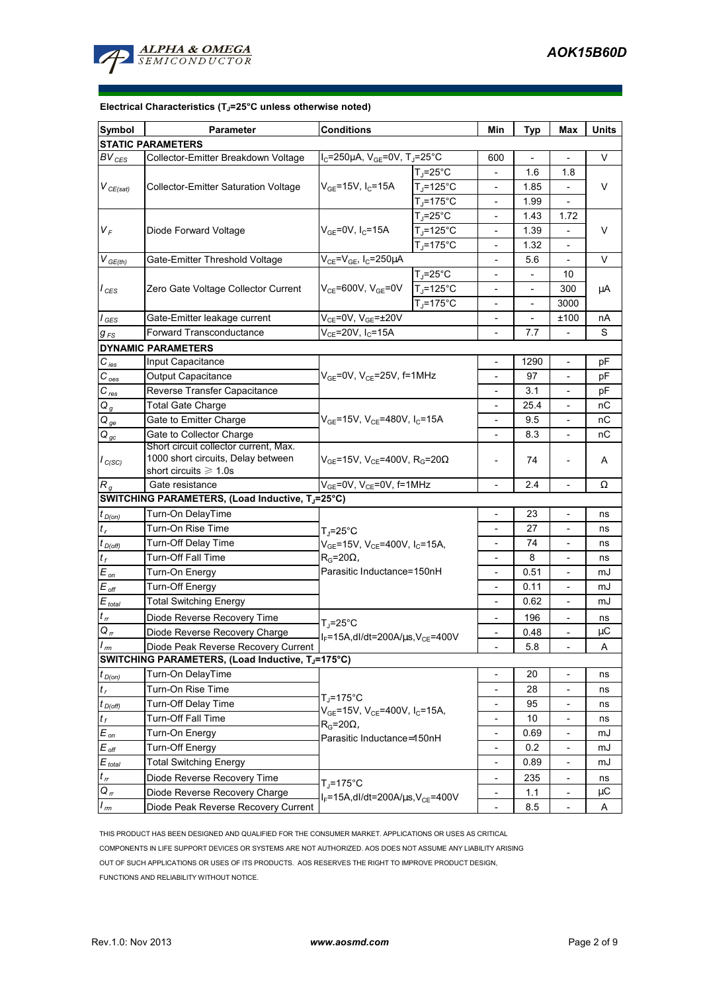

#### **Electrical Characteristics (TJ=25°C unless otherwise noted)**

| Symbol                                                                                                    | <b>Parameter</b>                                                                                        | <b>Conditions</b>                                                          |                          |                              | <b>Typ</b>                   | Max                          | <b>Units</b>    |  |  |  |  |  |
|-----------------------------------------------------------------------------------------------------------|---------------------------------------------------------------------------------------------------------|----------------------------------------------------------------------------|--------------------------|------------------------------|------------------------------|------------------------------|-----------------|--|--|--|--|--|
| <b>STATIC PARAMETERS</b>                                                                                  |                                                                                                         |                                                                            |                          |                              |                              |                              |                 |  |  |  |  |  |
| $BV_{CES}$                                                                                                | Collector-Emitter Breakdown Voltage                                                                     | $I_C = 250 \mu A$ , $V_{GE} = 0V$ , T <sub>J</sub> =25°C                   |                          | 600                          |                              | $\overline{a}$               | V               |  |  |  |  |  |
| $V_{CE(sat)}$                                                                                             | <b>Collector-Emitter Saturation Voltage</b>                                                             |                                                                            | $T_{\rm J}$ =25°C        | $\overline{\phantom{a}}$     | 1.6                          | 1.8                          | V               |  |  |  |  |  |
|                                                                                                           |                                                                                                         | $V_{GE}$ =15V, I <sub>C</sub> =15A                                         | $T_i = 125^{\circ}C$     |                              | 1.85                         |                              |                 |  |  |  |  |  |
|                                                                                                           |                                                                                                         |                                                                            | $T_i = 175^{\circ}C$     |                              | 1.99                         |                              |                 |  |  |  |  |  |
| $V_F$                                                                                                     | Diode Forward Voltage                                                                                   | $V_{GE}$ =0V, I <sub>C</sub> =15A                                          | $T_{\rm J}$ =25°C        |                              | 1.43                         | 1.72                         | V               |  |  |  |  |  |
|                                                                                                           |                                                                                                         |                                                                            | $T_J = 125$ °C           |                              | 1.39                         |                              |                 |  |  |  |  |  |
|                                                                                                           |                                                                                                         |                                                                            | $T_i = 175^{\circ}$ C    |                              | 1.32                         | $\overline{a}$               |                 |  |  |  |  |  |
| $V_{GE(th)}$                                                                                              | Gate-Emitter Threshold Voltage                                                                          | $V_{CE} = V_{GE}$ , I <sub>C</sub> =250µA                                  |                          |                              | 5.6                          |                              | V               |  |  |  |  |  |
| $I_{\text{CES}}$                                                                                          | Zero Gate Voltage Collector Current                                                                     | $V_{CE}$ =600V, $V_{GE}$ =0V                                               | $T_{\rm J}$ =25°C        |                              |                              | 10                           | μA              |  |  |  |  |  |
|                                                                                                           |                                                                                                         |                                                                            | $T_J = 125$ °C           | $\overline{\phantom{0}}$     |                              | 300                          |                 |  |  |  |  |  |
|                                                                                                           |                                                                                                         |                                                                            | $T_i = 175^{\circ}$ C    | $\overline{\phantom{a}}$     |                              | 3000                         |                 |  |  |  |  |  |
| $I_{\text{GES}}$                                                                                          | Gate-Emitter leakage current                                                                            | $V_{CE}$ =0V, $V_{GE}$ =±20V                                               |                          | $\overline{\phantom{a}}$     |                              | ±100                         | nА              |  |  |  |  |  |
| $g_{FS}$                                                                                                  | $V_{CE} = 20V, I_C = 15A$<br>Forward Transconductance                                                   |                                                                            |                          |                              | 7.7                          | $\overline{a}$               | S               |  |  |  |  |  |
|                                                                                                           | <b>DYNAMIC PARAMETERS</b>                                                                               |                                                                            |                          |                              |                              |                              |                 |  |  |  |  |  |
| $C_{\text{ies}}$                                                                                          | Input Capacitance                                                                                       |                                                                            | $\overline{\phantom{a}}$ | 1290                         | $\overline{\phantom{a}}$     | pF                           |                 |  |  |  |  |  |
| $C_{oes}$                                                                                                 | $V_{GE}$ =0V, $V_{CE}$ =25V, f=1MHz<br>Output Capacitance                                               |                                                                            |                          |                              | 97                           | $\overline{\phantom{a}}$     | рF              |  |  |  |  |  |
| $C_{res}$                                                                                                 | Reverse Transfer Capacitance                                                                            |                                                                            |                          | 3.1                          | $\overline{\phantom{0}}$     | рF                           |                 |  |  |  |  |  |
| $Q_g$                                                                                                     | <b>Total Gate Charge</b>                                                                                |                                                                            | $\overline{\phantom{a}}$ | 25.4                         | $\overline{\phantom{a}}$     | nС                           |                 |  |  |  |  |  |
| $Q_{ge}$                                                                                                  | Gate to Emitter Charge                                                                                  | $V_{GE}$ =15V, $V_{CE}$ =480V, I <sub>C</sub> =15A                         |                          | 9.5                          | $\frac{1}{2}$                | nС                           |                 |  |  |  |  |  |
| $Q_{gc}$                                                                                                  | Gate to Collector Charge                                                                                |                                                                            | $\overline{\phantom{a}}$ | 8.3                          | $\overline{\phantom{a}}$     | nС                           |                 |  |  |  |  |  |
|                                                                                                           | Short circuit collector current, Max.                                                                   |                                                                            |                          |                              | 74                           |                              | Α               |  |  |  |  |  |
| $I_{C(SC)}$                                                                                               | 1000 short circuits, Delay between<br>$V_{GE}$ =15V, V <sub>CE</sub> =400V, R <sub>G</sub> =20 $\Omega$ |                                                                            |                          |                              |                              |                              |                 |  |  |  |  |  |
|                                                                                                           | short circuits $\geq 1.0$ s                                                                             |                                                                            |                          |                              |                              |                              |                 |  |  |  |  |  |
| $R_g$                                                                                                     | Gate resistance<br>SWITCHING PARAMETERS, (Load Inductive, TJ=25°C)                                      | $V_{GE}$ =0V, $V_{CE}$ =0V, f=1MHz                                         |                          | 2.4                          |                              | Ω                            |                 |  |  |  |  |  |
|                                                                                                           |                                                                                                         |                                                                            |                          | $\overline{a}$               |                              |                              |                 |  |  |  |  |  |
| $t_{D(0n)}$                                                                                               | Turn-On DelayTime                                                                                       |                                                                            |                          | 23                           | $\overline{a}$               | ns                           |                 |  |  |  |  |  |
| $t_{r}$                                                                                                   | Turn-On Rise Time                                                                                       | $T_J = 25$ °C                                                              |                          | 27                           |                              | ns                           |                 |  |  |  |  |  |
| $t_{D(Off)}$                                                                                              | Turn-Off Delay Time                                                                                     | V <sub>GE</sub> =15V, V <sub>CE</sub> =400V, I <sub>C</sub> =15A,          | $\overline{\phantom{a}}$ | 74                           | $\overline{a}$               | ns                           |                 |  |  |  |  |  |
| $t_f$                                                                                                     | Turn-Off Fall Time                                                                                      | $R_G = 20\Omega$<br>Parasitic Inductance=150nH                             |                          | 8                            |                              | ns                           |                 |  |  |  |  |  |
| $E_{\mathit{on}}$                                                                                         | Turn-On Energy                                                                                          |                                                                            |                          | 0.51                         | $\qquad \qquad -$            | mJ                           |                 |  |  |  |  |  |
| $E_{\mathit{off}}$                                                                                        | Turn-Off Energy                                                                                         |                                                                            | $\overline{\phantom{a}}$ | 0.11                         | $\overline{a}$               | mJ                           |                 |  |  |  |  |  |
| $E_{total}$                                                                                               | <b>Total Switching Energy</b>                                                                           |                                                                            |                          | $\overline{\phantom{a}}$     | 0.62                         | $\qquad \qquad \blacksquare$ | mJ              |  |  |  |  |  |
| $t_{\scriptscriptstyle{rr}}$                                                                              | Diode Reverse Recovery Time                                                                             | T .=25°C                                                                   |                          | 196                          | $\overline{\phantom{a}}$     | ns                           |                 |  |  |  |  |  |
| $Q_{rr}$<br>$\overline{I}$                                                                                | Diode Reverse Recovery Charge                                                                           | $I_F = 15A$ , dl/dt=200A/ $\mu$ s, V <sub>CE</sub> =400V                   |                          |                              | 0.48                         | $\frac{1}{2}$                | $\upmu\text{C}$ |  |  |  |  |  |
| 5.8<br>Diode Peak Reverse Recovery Current<br>Α<br>rm<br>SWITCHING PARAMETERS, (Load Inductive, TJ=175°C) |                                                                                                         |                                                                            |                          |                              |                              |                              |                 |  |  |  |  |  |
|                                                                                                           |                                                                                                         |                                                                            |                          |                              |                              |                              |                 |  |  |  |  |  |
| $t_{D(0n)}$                                                                                               | Turn-On DelayTime                                                                                       | $T_i = 175$ °C<br>$V_{GE}$ =15V, $V_{CE}$ =400V, I <sub>C</sub> =15A,      |                          |                              | 20                           | $\overline{\phantom{0}}$     | ns              |  |  |  |  |  |
| $t_{r}$                                                                                                   | Turn-On Rise Time                                                                                       |                                                                            |                          | $\overline{\phantom{a}}$     | 28                           | $\overline{\phantom{0}}$     | ns              |  |  |  |  |  |
| $t_{D(Off)}$                                                                                              | Turn-Off Delay Time                                                                                     |                                                                            |                          |                              | 95                           |                              | ns              |  |  |  |  |  |
| $t_f$                                                                                                     | Turn-Off Fall Time                                                                                      | $R_G = 20\Omega,$                                                          | $\overline{\phantom{a}}$ | 10                           |                              | ns                           |                 |  |  |  |  |  |
| $E_{on}$                                                                                                  | Turn-On Energy                                                                                          | Parasitic Inductance=150nH                                                 |                          | $\overline{\phantom{a}}$     | 0.69                         | $\overline{\phantom{a}}$     | mJ              |  |  |  |  |  |
| $E_{\text{off}}$                                                                                          | Turn-Off Energy                                                                                         |                                                                            | $\overline{\phantom{a}}$ | 0.2                          |                              | mJ                           |                 |  |  |  |  |  |
| $E_{\underline{\text{total}}}$                                                                            | <b>Total Switching Energy</b>                                                                           |                                                                            |                          | $\qquad \qquad \blacksquare$ | 0.89                         | $\qquad \qquad \blacksquare$ | mJ              |  |  |  |  |  |
| $t_{\scriptscriptstyle H}$                                                                                | Diode Reverse Recovery Time                                                                             | $T_i = 175$ °C<br>$I_F = 15A$ , dl/dt=200A/ $\mu$ s, V <sub>CE</sub> =400V |                          |                              | 235                          |                              | ns              |  |  |  |  |  |
| $Q_{rr}$                                                                                                  | Diode Reverse Recovery Charge                                                                           |                                                                            |                          | $\overline{\phantom{a}}$     | 1.1                          |                              | μC              |  |  |  |  |  |
| $\frac{I_{rm}}{I}$                                                                                        | Diode Peak Reverse Recovery Current                                                                     |                                                                            | $\overline{\phantom{a}}$ | 8.5                          | $\qquad \qquad \blacksquare$ | Α                            |                 |  |  |  |  |  |

THIS PRODUCT HAS BEEN DESIGNED AND QUALIFIED FOR THE CONSUMER MARKET. APPLICATIONS OR USES AS CRITICAL COMPONENTS IN LIFE SUPPORT DEVICES OR SYSTEMS ARE NOT AUTHORIZED. AOS DOES NOT ASSUME ANY LIABILITY ARISING OUT OF SUCH APPLICATIONS OR USES OF ITS PRODUCTS. AOS RESERVES THE RIGHT TO IMPROVE PRODUCT DESIGN, FUNCTIONS AND RELIABILITY WITHOUT NOTICE.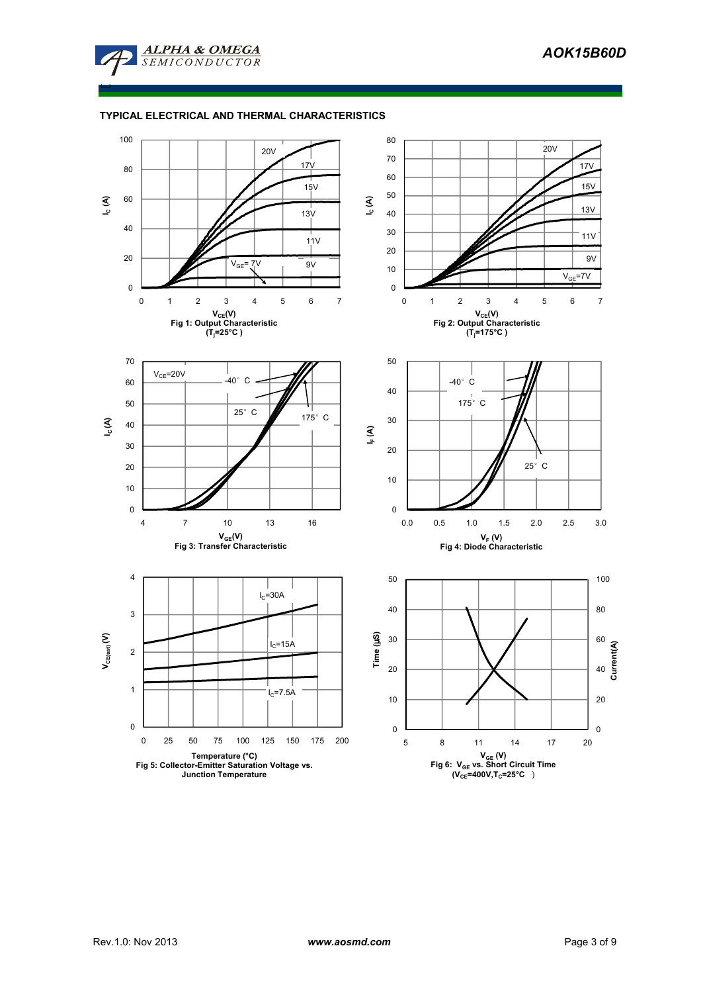

□

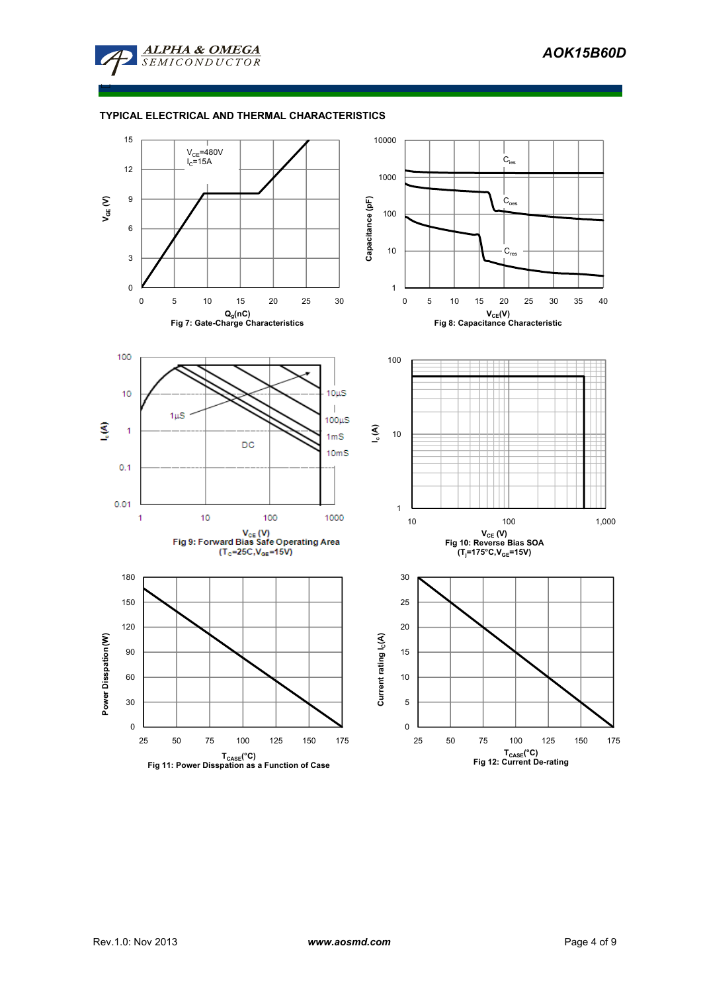

□

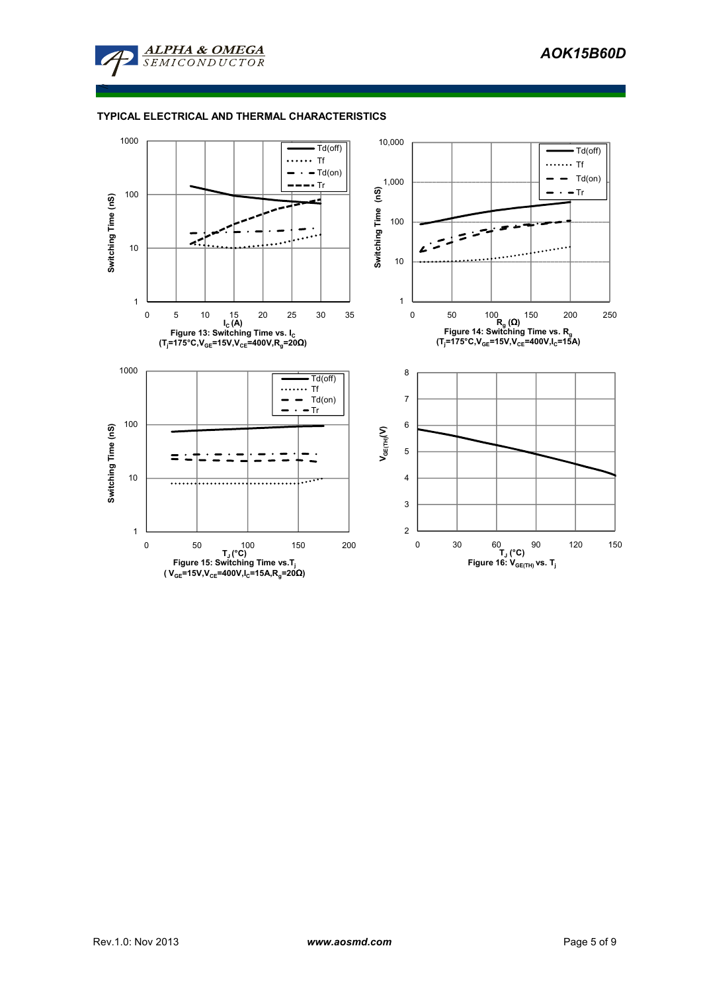

≤

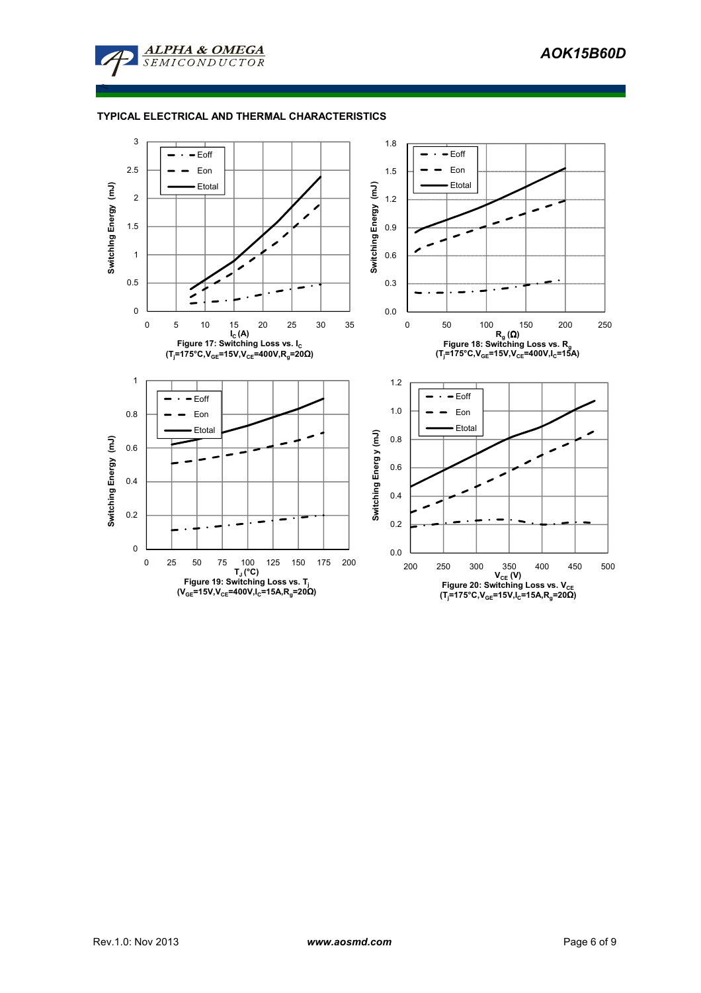

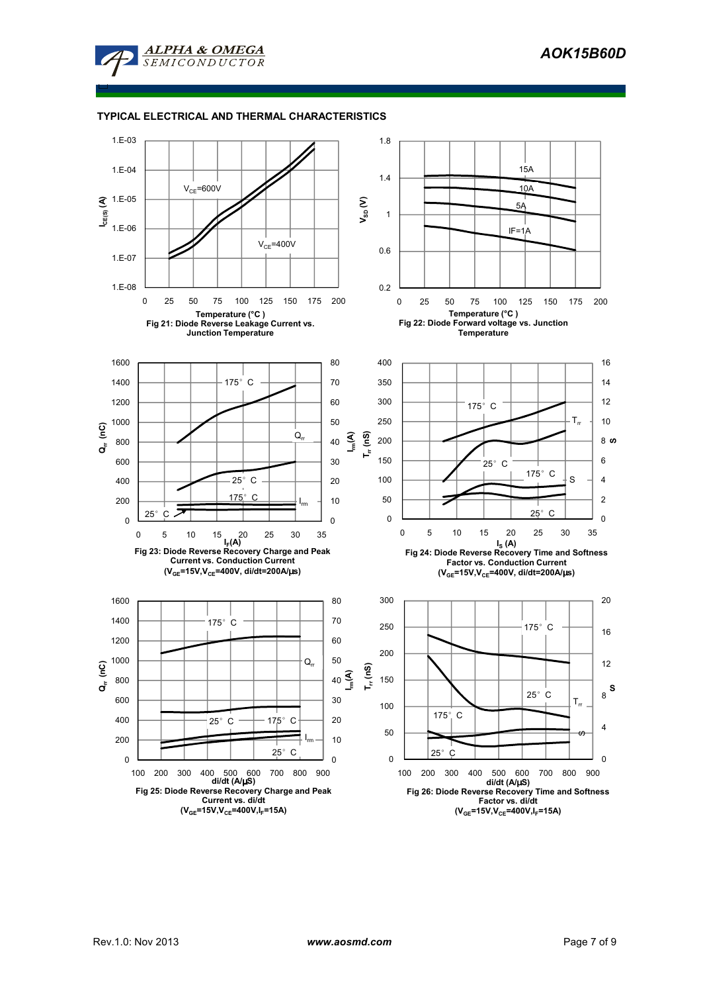

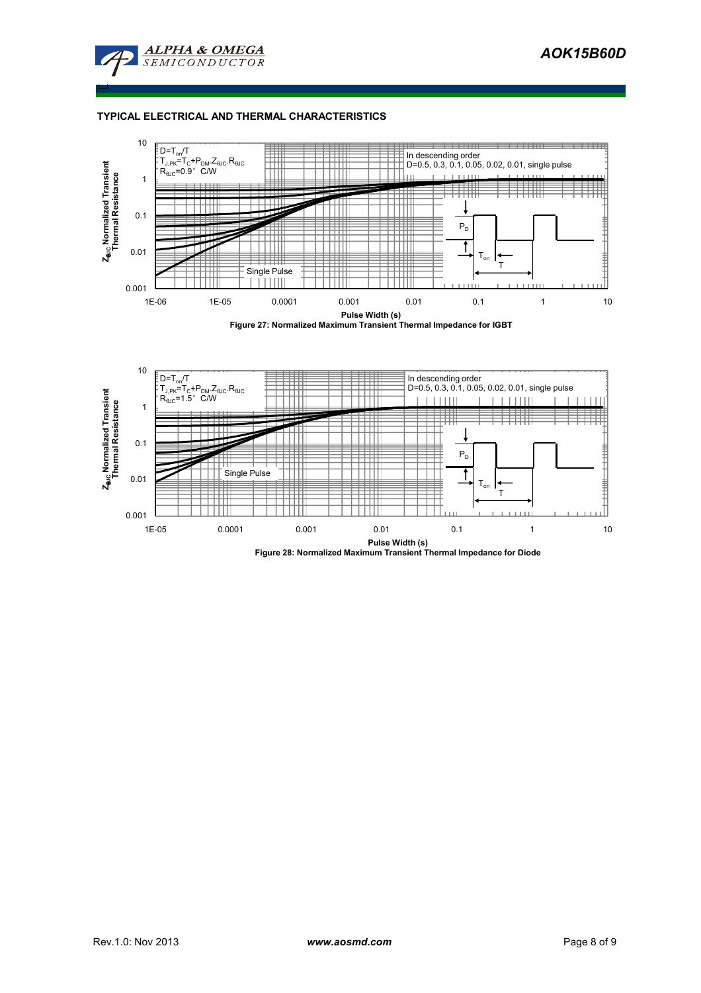

□